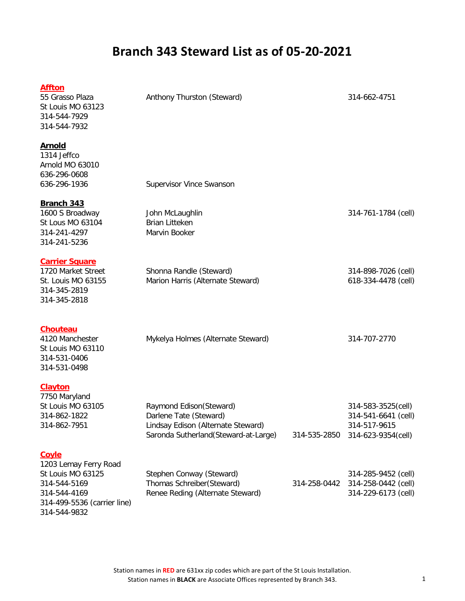| <b>Affton</b><br>55 Grasso Plaza<br>St Louis MO 63123<br>314-544-7929<br>314-544-7932                                     | Anthony Thurston (Steward)                                                                                                       |              | 314-662-4751                                                                    |
|---------------------------------------------------------------------------------------------------------------------------|----------------------------------------------------------------------------------------------------------------------------------|--------------|---------------------------------------------------------------------------------|
| <b>Arnold</b><br>1314 Jeffco<br>Arnold MO 63010<br>636-296-0608<br>636-296-1936                                           | Supervisor Vince Swanson                                                                                                         |              |                                                                                 |
| Branch 343<br>1600 S Broadway<br>St Lous MO 63104<br>314-241-4297<br>314-241-5236                                         | John McLaughlin<br><b>Brian Litteken</b><br>Marvin Booker                                                                        |              | 314-761-1784 (cell)                                                             |
| <b>Carrier Square</b><br>1720 Market Street<br>St. Louis MO 63155<br>314-345-2819<br>314-345-2818                         | Shonna Randle (Steward)<br>Marion Harris (Alternate Steward)                                                                     |              | 314-898-7026 (cell)<br>618-334-4478 (cell)                                      |
| <b>Chouteau</b><br>4120 Manchester<br>St Louis MO 63110<br>314-531-0406<br>314-531-0498                                   | Mykelya Holmes (Alternate Steward)                                                                                               |              | 314-707-2770                                                                    |
| <b>Clayton</b><br>7750 Maryland<br>St Louis MO 63105<br>314-862-1822<br>314-862-7951                                      | Raymond Edison(Steward)<br>Darlene Tate (Steward)<br>Lindsay Edison (Alternate Steward)<br>Saronda Sutherland (Steward-at-Large) | 314-535-2850 | 314-583-3525(cell)<br>314-541-6641 (cell)<br>314-517-9615<br>314-623-9354(cell) |
| <b>Coyle</b><br>1203 Lemay Ferry Road<br>St Louis MO 63125<br>314-544-5169<br>314-544-4169<br>314-499-5536 (carrier line) | Stephen Conway (Steward)<br>Thomas Schreiber(Steward)<br>Renee Reding (Alternate Steward)                                        | 314-258-0442 | 314-285-9452 (cell)<br>314-258-0442 (cell)<br>314-229-6173 (cell)               |

314-544-9832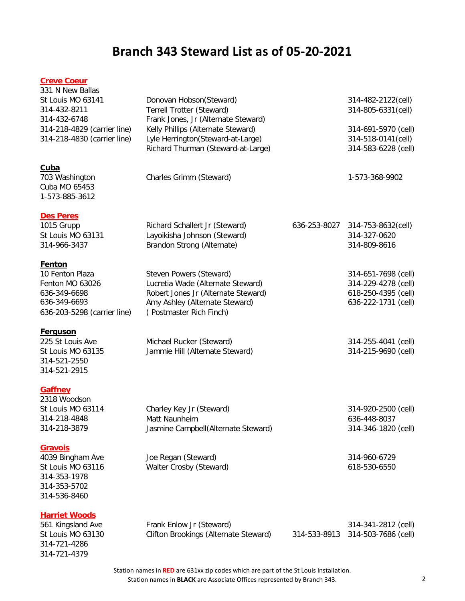#### **Creve Coeur**

| 331 N New Ballas<br>St Louis MO 63141<br>314-432-8211<br>314-432-6748<br>314-218-4829 (carrier line)<br>314-218-4830 (carrier line) | Donovan Hobson(Steward)<br>Terrell Trotter (Steward)<br>Frank Jones, Jr (Alternate Steward)<br>Kelly Phillips (Alternate Steward)<br>Lyle Herrington(Steward-at-Large)<br>Richard Thurman (Steward-at-Large) | 314-482-2122(cell)<br>314-805-6331(cell)<br>314-691-5970 (cell)<br>314-518-0141(cell)<br>314-583-6228 (cell) |
|-------------------------------------------------------------------------------------------------------------------------------------|--------------------------------------------------------------------------------------------------------------------------------------------------------------------------------------------------------------|--------------------------------------------------------------------------------------------------------------|
| <u>Cuba</u><br>703 Washington<br>Cuba MO 65453<br>1-573-885-3612                                                                    | Charles Grimm (Steward)                                                                                                                                                                                      | 1-573-368-9902                                                                                               |
| <b>Des Peres</b><br>1015 Grupp<br>St Louis MO 63131<br>314-966-3437                                                                 | Richard Schallert Jr (Steward)<br>Layoikisha Johnson (Steward)<br>Brandon Strong (Alternate)                                                                                                                 | 636-253-8027 314-753-8632(cell)<br>314-327-0620<br>314-809-8616                                              |
| <u>Fenton</u><br>10 Fenton Plaza<br>Fenton MO 63026<br>636-349-6698<br>636-349-6693<br>636-203-5298 (carrier line)                  | Steven Powers (Steward)<br>Lucretia Wade (Alternate Steward)<br>Robert Jones Jr (Alternate Steward)<br>Amy Ashley (Alternate Steward)<br>(Postmaster Rich Finch)                                             | 314-651-7698 (cell)<br>314-229-4278 (cell)<br>618-250-4395 (cell)<br>636-222-1731 (cell)                     |
| <u>Ferguson</u><br>225 St Louis Ave<br>St Louis MO 63135<br>314-521-2550<br>314-521-2915                                            | Michael Rucker (Steward)<br>Jammie Hill (Alternate Steward)                                                                                                                                                  | 314-255-4041 (cell)<br>314-215-9690 (cell)                                                                   |
| <b>Gaffney</b><br>2318 Woodson<br>St Louis MO 63114<br>314-218-4848<br>314-218-3879<br><u>Gravois</u>                               | Charley Key Jr (Steward)<br>Matt Naunheim<br>Jasmine Campbell(Alternate Steward)                                                                                                                             | 314-920-2500 (cell)<br>636-448-8037<br>314-346-1820 (cell)                                                   |
| 4039 Bingham Ave<br>St Louis MO 63116<br>314-353-1978<br>314-353-5702<br>314-536-8460                                               | Joe Regan (Steward)<br>Walter Crosby (Steward)                                                                                                                                                               | 314-960-6729<br>618-530-6550                                                                                 |
| <b>Harriet Woods</b><br>561 Kingsland Ave<br>St Louis MO 63130<br>314-721-4286<br>314-721-4379                                      | Frank Enlow Jr (Steward)<br>Clifton Brookings (Alternate Steward)                                                                                                                                            | 314-341-2812 (cell)<br>314-533-8913 314-503-7686 (cell)                                                      |

Station names in **RED** are 631xx zip codes which are part of the St Louis Installation. Station names in **BLACK** are Associate Offices represented by Branch 343. 2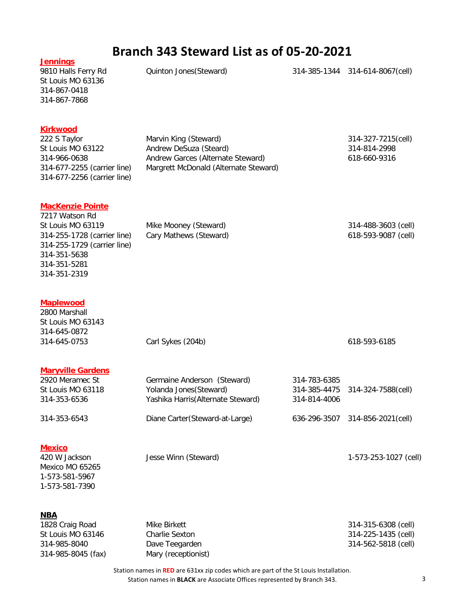| <b>Jennings</b><br>9810 Halls Ferry Rd<br>St Louis MO 63136<br>314-867-0418<br>314-867-7868                                                                                  | Quinton Jones (Steward)                                                                                                       |                                              | 314-385-1344 314-614-8067(cell)                                   |
|------------------------------------------------------------------------------------------------------------------------------------------------------------------------------|-------------------------------------------------------------------------------------------------------------------------------|----------------------------------------------|-------------------------------------------------------------------|
| <b>Kirkwood</b><br>222 S Taylor<br>St Louis MO 63122<br>314-966-0638<br>314-677-2255 (carrier line)<br>314-677-2256 (carrier line)                                           | Marvin King (Steward)<br>Andrew DeSuza (Steard)<br>Andrew Garces (Alternate Steward)<br>Margrett McDonald (Alternate Steward) |                                              | 314-327-7215(cell)<br>314-814-2998<br>618-660-9316                |
| <b>MacKenzie Pointe</b><br>7217 Watson Rd<br>St Louis MO 63119<br>314-255-1728 (carrier line)<br>314-255-1729 (carrier line)<br>314-351-5638<br>314-351-5281<br>314-351-2319 | Mike Mooney (Steward)<br>Cary Mathews (Steward)                                                                               |                                              | 314-488-3603 (cell)<br>618-593-9087 (cell)                        |
| <b>Maplewood</b><br>2800 Marshall<br>St Louis MO 63143<br>314-645-0872<br>314-645-0753                                                                                       | Carl Sykes (204b)                                                                                                             |                                              | 618-593-6185                                                      |
| <b>Maryville Gardens</b><br>2920 Meramec St<br>St Louis MO 63118<br>314-353-6536                                                                                             | Germaine Anderson (Steward)<br>Yolanda Jones (Steward)<br>Yashika Harris (Alternate Steward)                                  | 314-783-6385<br>314-385-4475<br>314-814-4006 | 314-324-7588(cell)                                                |
| 314-353-6543                                                                                                                                                                 | Diane Carter(Steward-at-Large)                                                                                                |                                              | 636-296-3507 314-856-2021(cell)                                   |
| <b>Mexico</b><br>420 W Jackson<br>Mexico MO 65265<br>1-573-581-5967<br>1-573-581-7390                                                                                        | Jesse Winn (Steward)                                                                                                          |                                              | 1-573-253-1027 (cell)                                             |
| <b>NBA</b><br>1828 Craig Road<br>St Louis MO 63146<br>314-985-8040<br>314-985-8045 (fax)                                                                                     | Mike Birkett<br>Charlie Sexton<br>Dave Teegarden<br>Mary (receptionist)                                                       |                                              | 314-315-6308 (cell)<br>314-225-1435 (cell)<br>314-562-5818 (cell) |

Station names in **RED** are 631xx zip codes which are part of the St Louis Installation. Station names in **BLACK** are Associate Offices represented by Branch 343. 3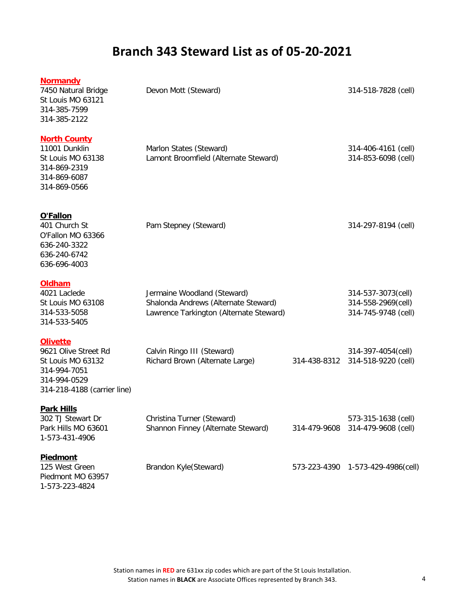| <b>Normandy</b><br>7450 Natural Bridge<br>St Louis MO 63121<br>314-385-7599<br>314-385-2122                                 | Devon Mott (Steward)                                                                                           |              | 314-518-7828 (cell)                                             |
|-----------------------------------------------------------------------------------------------------------------------------|----------------------------------------------------------------------------------------------------------------|--------------|-----------------------------------------------------------------|
| <b>North County</b><br>11001 Dunklin<br>St Louis MO 63138<br>314-869-2319<br>314-869-6087<br>314-869-0566                   | Marlon States (Steward)<br>Lamont Broomfield (Alternate Steward)                                               |              | 314-406-4161 (cell)<br>314-853-6098 (cell)                      |
| O'Fallon<br>401 Church St<br>O'Fallon MO 63366<br>636-240-3322<br>636-240-6742<br>636-696-4003                              | Pam Stepney (Steward)                                                                                          |              | 314-297-8194 (cell)                                             |
| <b>Oldham</b><br>4021 Laclede<br>St Louis MO 63108<br>314-533-5058<br>314-533-5405                                          | Jermaine Woodland (Steward)<br>Shalonda Andrews (Alternate Steward)<br>Lawrence Tarkington (Alternate Steward) |              | 314-537-3073(cell)<br>314-558-2969(cell)<br>314-745-9748 (cell) |
| <b>Olivette</b><br>9621 Olive Street Rd<br>St Louis MO 63132<br>314-994-7051<br>314-994-0529<br>314-218-4188 (carrier line) | Calvin Ringo III (Steward)<br>Richard Brown (Alternate Large)                                                  | 314-438-8312 | 314-397-4054(cell)<br>314-518-9220 (cell)                       |
| <b>Park Hills</b><br>302 TJ Stewart Dr<br>Park Hills MO 63601<br>1-573-431-4906                                             | Christina Turner (Steward)<br>Shannon Finney (Alternate Steward)                                               | 314-479-9608 | 573-315-1638 (cell)<br>314-479-9608 (cell)                      |
| <b>Piedmont</b><br>125 West Green<br>Piedmont MO 63957<br>1-573-223-4824                                                    | Brandon Kyle(Steward)                                                                                          | 573-223-4390 | 1-573-429-4986(cell)                                            |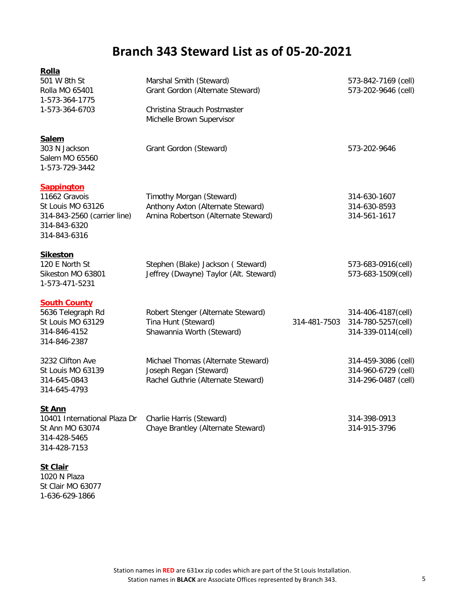| Rolla                                                                                                                  |                                                                                                       |              |                                                                   |
|------------------------------------------------------------------------------------------------------------------------|-------------------------------------------------------------------------------------------------------|--------------|-------------------------------------------------------------------|
| 501 W 8th St<br>Rolla MO 65401<br>1-573-364-1775                                                                       | Marshal Smith (Steward)<br>Grant Gordon (Alternate Steward)                                           |              | 573-842-7169 (cell)<br>573-202-9646 (cell)                        |
| 1-573-364-6703                                                                                                         | Christina Strauch Postmaster<br>Michelle Brown Supervisor                                             |              |                                                                   |
| <b>Salem</b><br>303 N Jackson<br>Salem MO 65560<br>1-573-729-3442                                                      | Grant Gordon (Steward)                                                                                |              | 573-202-9646                                                      |
| <b>Sappington</b><br>11662 Gravois<br>St Louis MO 63126<br>314-843-2560 (carrier line)<br>314-843-6320<br>314-843-6316 | Timothy Morgan (Steward)<br>Anthony Axton (Alternate Steward)<br>Arnina Robertson (Alternate Steward) |              | 314-630-1607<br>314-630-8593<br>314-561-1617                      |
| <b>Sikeston</b><br>120 E North St<br>Sikeston MO 63801<br>1-573-471-5231                                               | Stephen (Blake) Jackson (Steward)<br>Jeffrey (Dwayne) Taylor (Alt. Steward)                           |              | 573-683-0916(cell)<br>573-683-1509(cell)                          |
| <b>South County</b><br>5636 Telegraph Rd<br>St Louis MO 63129<br>314-846-4152<br>314-846-2387                          | Robert Stenger (Alternate Steward)<br>Tina Hunt (Steward)<br>Shawannia Worth (Steward)                | 314-481-7503 | 314-406-4187(cell)<br>314-780-5257(cell)<br>314-339-0114(cell)    |
| 3232 Clifton Ave<br>St Louis MO 63139<br>314-645-0843<br>314-645-4793                                                  | Michael Thomas (Alternate Steward)<br>Joseph Regan (Steward)<br>Rachel Guthrie (Alternate Steward)    |              | 314-459-3086 (cell)<br>314-960-6729 (cell)<br>314-296-0487 (cell) |
| <b>St Ann</b><br>10401 International Plaza Dr<br>St Ann MO 63074<br>314-428-5465<br>314-428-7153                       | Charlie Harris (Steward)<br>Chaye Brantley (Alternate Steward)                                        |              | 314-398-0913<br>314-915-3796                                      |
| <b>St Clair</b>                                                                                                        |                                                                                                       |              |                                                                   |

1020 N Plaza St Clair MO 63077 1-636-629-1866